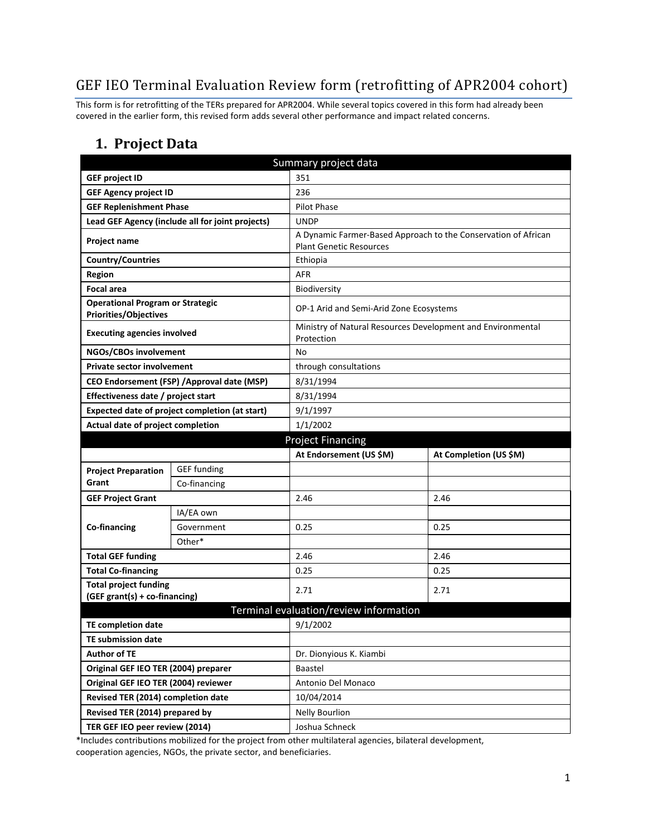## GEF IEO Terminal Evaluation Review form (retrofitting of APR2004 cohort)

This form is for retrofitting of the TERs prepared for APR2004. While several topics covered in this form had already been covered in the earlier form, this revised form adds several other performance and impact related concerns.

#### **1. Project Data**

| Summary project data                                                    |                                                  |                                                                           |                                                                |  |
|-------------------------------------------------------------------------|--------------------------------------------------|---------------------------------------------------------------------------|----------------------------------------------------------------|--|
| <b>GEF project ID</b>                                                   |                                                  | 351                                                                       |                                                                |  |
| <b>GEF Agency project ID</b><br>236                                     |                                                  |                                                                           |                                                                |  |
| <b>GEF Replenishment Phase</b>                                          |                                                  | <b>Pilot Phase</b>                                                        |                                                                |  |
|                                                                         | Lead GEF Agency (include all for joint projects) | <b>UNDP</b>                                                               |                                                                |  |
| Project name                                                            |                                                  | <b>Plant Genetic Resources</b>                                            | A Dynamic Farmer-Based Approach to the Conservation of African |  |
| <b>Country/Countries</b>                                                |                                                  | Ethiopia                                                                  |                                                                |  |
| <b>Region</b>                                                           |                                                  | <b>AFR</b>                                                                |                                                                |  |
| <b>Focal area</b>                                                       |                                                  | <b>Biodiversity</b>                                                       |                                                                |  |
| <b>Operational Program or Strategic</b><br><b>Priorities/Objectives</b> |                                                  | OP-1 Arid and Semi-Arid Zone Ecosystems                                   |                                                                |  |
| <b>Executing agencies involved</b>                                      |                                                  | Ministry of Natural Resources Development and Environmental<br>Protection |                                                                |  |
| NGOs/CBOs involvement                                                   |                                                  | No                                                                        |                                                                |  |
| <b>Private sector involvement</b>                                       |                                                  | through consultations                                                     |                                                                |  |
|                                                                         | CEO Endorsement (FSP) / Approval date (MSP)      | 8/31/1994                                                                 |                                                                |  |
| Effectiveness date / project start                                      |                                                  | 8/31/1994                                                                 |                                                                |  |
|                                                                         | Expected date of project completion (at start)   | 9/1/1997                                                                  |                                                                |  |
| Actual date of project completion                                       |                                                  | 1/1/2002                                                                  |                                                                |  |
|                                                                         |                                                  | <b>Project Financing</b>                                                  |                                                                |  |
|                                                                         |                                                  | At Endorsement (US \$M)                                                   | At Completion (US \$M)                                         |  |
|                                                                         |                                                  |                                                                           |                                                                |  |
| <b>Project Preparation</b>                                              | <b>GEF</b> funding                               |                                                                           |                                                                |  |
| Grant                                                                   | Co-financing                                     |                                                                           |                                                                |  |
| <b>GEF Project Grant</b>                                                |                                                  | 2.46                                                                      | 2.46                                                           |  |
|                                                                         | IA/EA own                                        |                                                                           |                                                                |  |
| Co-financing                                                            | Government                                       | 0.25                                                                      | 0.25                                                           |  |
|                                                                         | Other*                                           |                                                                           |                                                                |  |
| <b>Total GEF funding</b>                                                |                                                  | 2.46                                                                      | 2.46                                                           |  |
| <b>Total Co-financing</b>                                               |                                                  | 0.25                                                                      | 0.25                                                           |  |
| <b>Total project funding</b><br>(GEF grant(s) + co-financing)           |                                                  | 2.71                                                                      | 2.71                                                           |  |
|                                                                         |                                                  | Terminal evaluation/review information                                    |                                                                |  |
| <b>TE completion date</b>                                               |                                                  | 9/1/2002                                                                  |                                                                |  |
| TE submission date                                                      |                                                  |                                                                           |                                                                |  |
| <b>Author of TE</b>                                                     |                                                  | Dr. Dionyious K. Kiambi                                                   |                                                                |  |
| Original GEF IEO TER (2004) preparer                                    |                                                  | Baastel                                                                   |                                                                |  |
| Original GEF IEO TER (2004) reviewer                                    |                                                  | Antonio Del Monaco                                                        |                                                                |  |
| Revised TER (2014) completion date                                      |                                                  | 10/04/2014                                                                |                                                                |  |
| Revised TER (2014) prepared by                                          |                                                  | <b>Nelly Bourlion</b>                                                     |                                                                |  |

\*Includes contributions mobilized for the project from other multilateral agencies, bilateral development, cooperation agencies, NGOs, the private sector, and beneficiaries.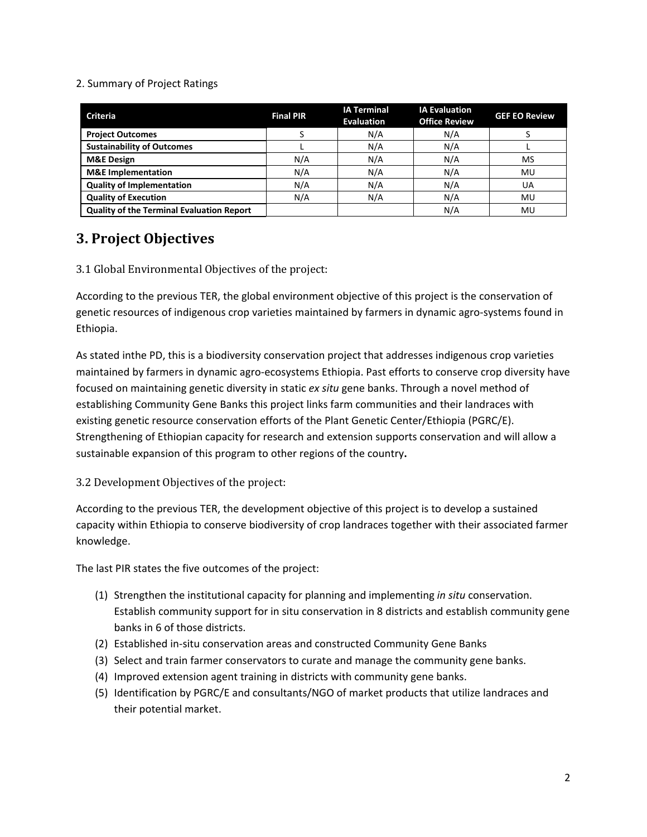#### 2. Summary of Project Ratings

| <b>Criteria</b>                                  | <b>Final PIR</b> | <b>IA Terminal</b><br><b>Evaluation</b> | <b>IA Evaluation</b><br><b>Office Review</b> | <b>GEF EO Review</b> |
|--------------------------------------------------|------------------|-----------------------------------------|----------------------------------------------|----------------------|
| <b>Project Outcomes</b>                          |                  | N/A                                     | N/A                                          |                      |
| <b>Sustainability of Outcomes</b>                |                  | N/A                                     | N/A                                          |                      |
| <b>M&amp;E Design</b>                            | N/A              | N/A                                     | N/A                                          | MS                   |
| <b>M&amp;E</b> Implementation                    | N/A              | N/A                                     | N/A                                          | MU                   |
| <b>Quality of Implementation</b>                 | N/A              | N/A                                     | N/A                                          | UA                   |
| <b>Quality of Execution</b>                      | N/A              | N/A                                     | N/A                                          | MU                   |
| <b>Quality of the Terminal Evaluation Report</b> |                  |                                         | N/A                                          | MU                   |

### **3. Project Objectives**

3.1 Global Environmental Objectives of the project:

According to the previous TER, the global environment objective of this project is the conservation of genetic resources of indigenous crop varieties maintained by farmers in dynamic agro-systems found in Ethiopia.

As stated inthe PD, this is a biodiversity conservation project that addresses indigenous crop varieties maintained by farmers in dynamic agro-ecosystems Ethiopia. Past efforts to conserve crop diversity have focused on maintaining genetic diversity in static *ex situ* gene banks. Through a novel method of establishing Community Gene Banks this project links farm communities and their landraces with existing genetic resource conservation efforts of the Plant Genetic Center/Ethiopia (PGRC/E). Strengthening of Ethiopian capacity for research and extension supports conservation and will allow a sustainable expansion of this program to other regions of the country**.** 

#### 3.2 Development Objectives of the project:

According to the previous TER, the development objective of this project is to develop a sustained capacity within Ethiopia to conserve biodiversity of crop landraces together with their associated farmer knowledge.

The last PIR states the five outcomes of the project:

- (1) Strengthen the institutional capacity for planning and implementing *in situ* conservation. Establish community support for in situ conservation in 8 districts and establish community gene banks in 6 of those districts.
- (2) Established in-situ conservation areas and constructed Community Gene Banks
- (3) Select and train farmer conservators to curate and manage the community gene banks.
- (4) Improved extension agent training in districts with community gene banks.
- (5) Identification by PGRC/E and consultants/NGO of market products that utilize landraces and their potential market.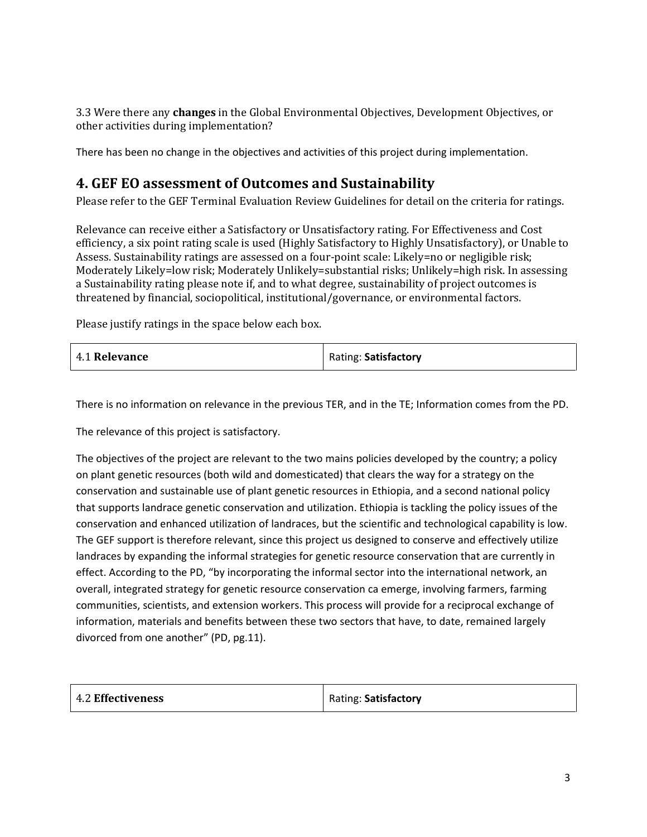3.3 Were there any **changes** in the Global Environmental Objectives, Development Objectives, or other activities during implementation?

There has been no change in the objectives and activities of this project during implementation.

#### **4. GEF EO assessment of Outcomes and Sustainability**

Please refer to the GEF Terminal Evaluation Review Guidelines for detail on the criteria for ratings.

Relevance can receive either a Satisfactory or Unsatisfactory rating. For Effectiveness and Cost efficiency, a six point rating scale is used (Highly Satisfactory to Highly Unsatisfactory), or Unable to Assess. Sustainability ratings are assessed on a four-point scale: Likely=no or negligible risk; Moderately Likely=low risk; Moderately Unlikely=substantial risks; Unlikely=high risk. In assessing a Sustainability rating please note if, and to what degree, sustainability of project outcomes is threatened by financial, sociopolitical, institutional/governance, or environmental factors.

Please justify ratings in the space below each box.

| 4.1 Relevance | Rating: Satisfactory |
|---------------|----------------------|
|---------------|----------------------|

There is no information on relevance in the previous TER, and in the TE; Information comes from the PD.

The relevance of this project is satisfactory.

The objectives of the project are relevant to the two mains policies developed by the country; a policy on plant genetic resources (both wild and domesticated) that clears the way for a strategy on the conservation and sustainable use of plant genetic resources in Ethiopia, and a second national policy that supports landrace genetic conservation and utilization. Ethiopia is tackling the policy issues of the conservation and enhanced utilization of landraces, but the scientific and technological capability is low. The GEF support is therefore relevant, since this project us designed to conserve and effectively utilize landraces by expanding the informal strategies for genetic resource conservation that are currently in effect. According to the PD, "by incorporating the informal sector into the international network, an overall, integrated strategy for genetic resource conservation ca emerge, involving farmers, farming communities, scientists, and extension workers. This process will provide for a reciprocal exchange of information, materials and benefits between these two sectors that have, to date, remained largely divorced from one another" (PD, pg.11).

|  | 4.2 Effectiveness | Rating: Satisfactory |
|--|-------------------|----------------------|
|--|-------------------|----------------------|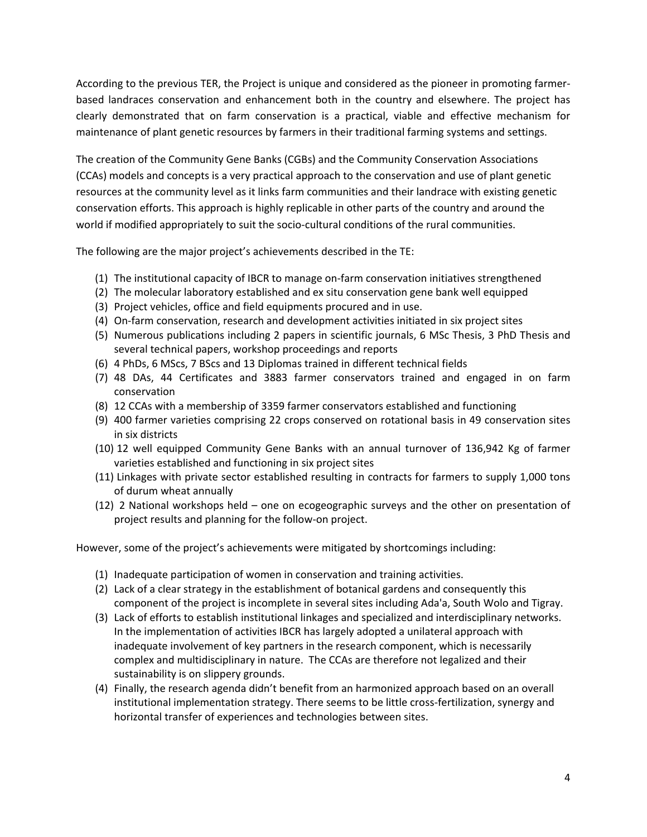According to the previous TER, the Project is unique and considered as the pioneer in promoting farmerbased landraces conservation and enhancement both in the country and elsewhere. The project has clearly demonstrated that on farm conservation is a practical, viable and effective mechanism for maintenance of plant genetic resources by farmers in their traditional farming systems and settings.

The creation of the Community Gene Banks (CGBs) and the Community Conservation Associations (CCAs) models and concepts is a very practical approach to the conservation and use of plant genetic resources at the community level as it links farm communities and their landrace with existing genetic conservation efforts. This approach is highly replicable in other parts of the country and around the world if modified appropriately to suit the socio-cultural conditions of the rural communities.

The following are the major project's achievements described in the TE:

- (1) The institutional capacity of IBCR to manage on-farm conservation initiatives strengthened
- (2) The molecular laboratory established and ex situ conservation gene bank well equipped
- (3) Project vehicles, office and field equipments procured and in use.
- (4) On-farm conservation, research and development activities initiated in six project sites
- (5) Numerous publications including 2 papers in scientific journals, 6 MSc Thesis, 3 PhD Thesis and several technical papers, workshop proceedings and reports
- (6) 4 PhDs, 6 MScs, 7 BScs and 13 Diplomas trained in different technical fields
- (7) 48 DAs, 44 Certificates and 3883 farmer conservators trained and engaged in on farm conservation
- (8) 12 CCAs with a membership of 3359 farmer conservators established and functioning
- (9) 400 farmer varieties comprising 22 crops conserved on rotational basis in 49 conservation sites in six districts
- (10) 12 well equipped Community Gene Banks with an annual turnover of 136,942 Kg of farmer varieties established and functioning in six project sites
- (11) Linkages with private sector established resulting in contracts for farmers to supply 1,000 tons of durum wheat annually
- (12) 2 National workshops held one on ecogeographic surveys and the other on presentation of project results and planning for the follow-on project.

However, some of the project's achievements were mitigated by shortcomings including:

- (1) Inadequate participation of women in conservation and training activities.
- (2) Lack of a clear strategy in the establishment of botanical gardens and consequently this component of the project is incomplete in several sites including Ada'a, South Wolo and Tigray.
- (3) Lack of efforts to establish institutional linkages and specialized and interdisciplinary networks. In the implementation of activities IBCR has largely adopted a unilateral approach with inadequate involvement of key partners in the research component, which is necessarily complex and multidisciplinary in nature. The CCAs are therefore not legalized and their sustainability is on slippery grounds.
- (4) Finally, the research agenda didn't benefit from an harmonized approach based on an overall institutional implementation strategy. There seems to be little cross-fertilization, synergy and horizontal transfer of experiences and technologies between sites.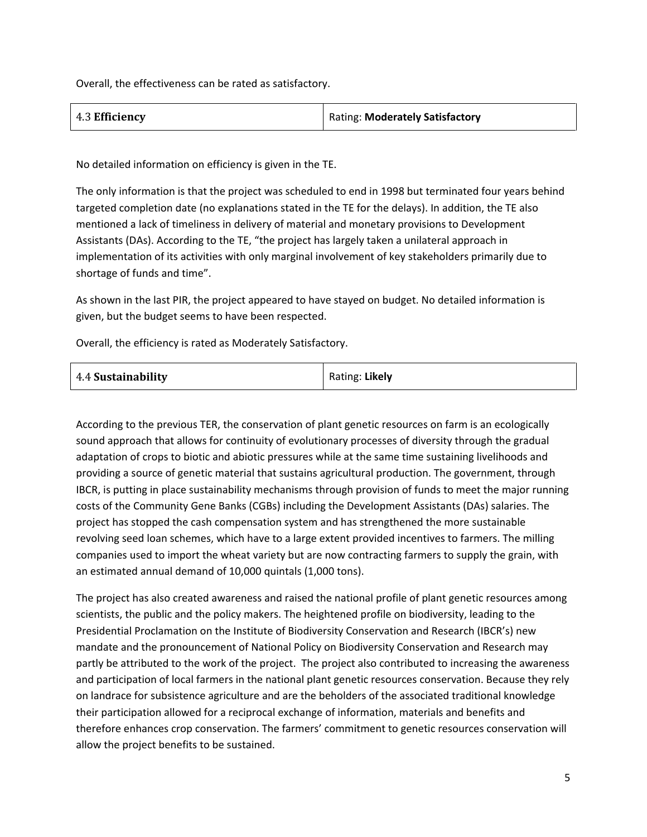Overall, the effectiveness can be rated as satisfactory.

| 4.3 Efficiency | Rating: Moderately Satisfactory |
|----------------|---------------------------------|
|                |                                 |

No detailed information on efficiency is given in the TE.

The only information is that the project was scheduled to end in 1998 but terminated four years behind targeted completion date (no explanations stated in the TE for the delays). In addition, the TE also mentioned a lack of timeliness in delivery of material and monetary provisions to Development Assistants (DAs). According to the TE, "the project has largely taken a unilateral approach in implementation of its activities with only marginal involvement of key stakeholders primarily due to shortage of funds and time".

As shown in the last PIR, the project appeared to have stayed on budget. No detailed information is given, but the budget seems to have been respected.

Overall, the efficiency is rated as Moderately Satisfactory.

| 4.4 Sustainability | Rating: Likely |
|--------------------|----------------|
|--------------------|----------------|

According to the previous TER, the conservation of plant genetic resources on farm is an ecologically sound approach that allows for continuity of evolutionary processes of diversity through the gradual adaptation of crops to biotic and abiotic pressures while at the same time sustaining livelihoods and providing a source of genetic material that sustains agricultural production. The government, through IBCR, is putting in place sustainability mechanisms through provision of funds to meet the major running costs of the Community Gene Banks (CGBs) including the Development Assistants (DAs) salaries. The project has stopped the cash compensation system and has strengthened the more sustainable revolving seed loan schemes, which have to a large extent provided incentives to farmers. The milling companies used to import the wheat variety but are now contracting farmers to supply the grain, with an estimated annual demand of 10,000 quintals (1,000 tons).

The project has also created awareness and raised the national profile of plant genetic resources among scientists, the public and the policy makers. The heightened profile on biodiversity, leading to the Presidential Proclamation on the Institute of Biodiversity Conservation and Research (IBCR's) new mandate and the pronouncement of National Policy on Biodiversity Conservation and Research may partly be attributed to the work of the project. The project also contributed to increasing the awareness and participation of local farmers in the national plant genetic resources conservation. Because they rely on landrace for subsistence agriculture and are the beholders of the associated traditional knowledge their participation allowed for a reciprocal exchange of information, materials and benefits and therefore enhances crop conservation. The farmers' commitment to genetic resources conservation will allow the project benefits to be sustained.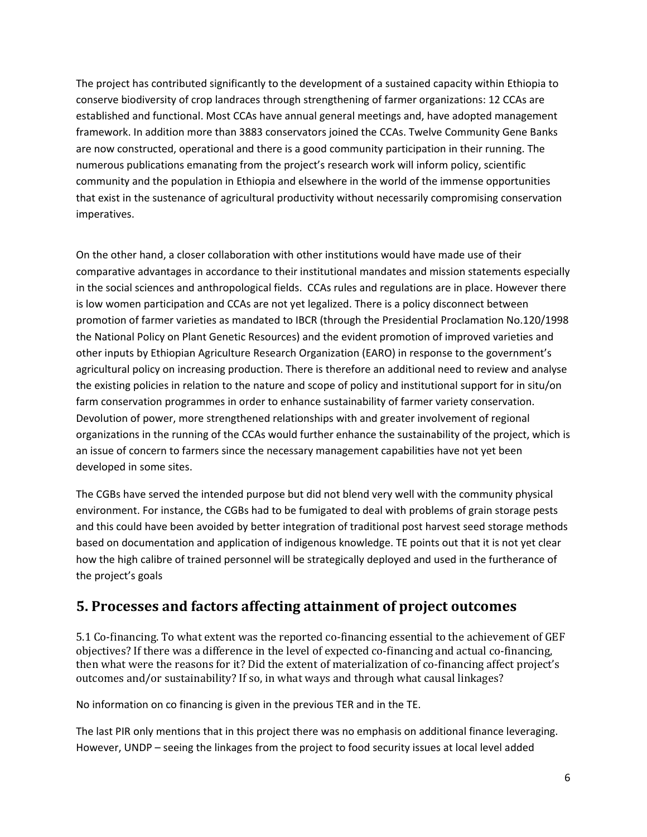The project has contributed significantly to the development of a sustained capacity within Ethiopia to conserve biodiversity of crop landraces through strengthening of farmer organizations: 12 CCAs are established and functional. Most CCAs have annual general meetings and, have adopted management framework. In addition more than 3883 conservators joined the CCAs. Twelve Community Gene Banks are now constructed, operational and there is a good community participation in their running. The numerous publications emanating from the project's research work will inform policy, scientific community and the population in Ethiopia and elsewhere in the world of the immense opportunities that exist in the sustenance of agricultural productivity without necessarily compromising conservation imperatives.

On the other hand, a closer collaboration with other institutions would have made use of their comparative advantages in accordance to their institutional mandates and mission statements especially in the social sciences and anthropological fields. CCAs rules and regulations are in place. However there is low women participation and CCAs are not yet legalized. There is a policy disconnect between promotion of farmer varieties as mandated to IBCR (through the Presidential Proclamation No.120/1998 the National Policy on Plant Genetic Resources) and the evident promotion of improved varieties and other inputs by Ethiopian Agriculture Research Organization (EARO) in response to the government's agricultural policy on increasing production. There is therefore an additional need to review and analyse the existing policies in relation to the nature and scope of policy and institutional support for in situ/on farm conservation programmes in order to enhance sustainability of farmer variety conservation. Devolution of power, more strengthened relationships with and greater involvement of regional organizations in the running of the CCAs would further enhance the sustainability of the project, which is an issue of concern to farmers since the necessary management capabilities have not yet been developed in some sites.

The CGBs have served the intended purpose but did not blend very well with the community physical environment. For instance, the CGBs had to be fumigated to deal with problems of grain storage pests and this could have been avoided by better integration of traditional post harvest seed storage methods based on documentation and application of indigenous knowledge. TE points out that it is not yet clear how the high calibre of trained personnel will be strategically deployed and used in the furtherance of the project's goals

### **5. Processes and factors affecting attainment of project outcomes**

5.1 Co-financing. To what extent was the reported co-financing essential to the achievement of GEF objectives? If there was a difference in the level of expected co-financing and actual co-financing, then what were the reasons for it? Did the extent of materialization of co-financing affect project's outcomes and/or sustainability? If so, in what ways and through what causal linkages?

No information on co financing is given in the previous TER and in the TE.

The last PIR only mentions that in this project there was no emphasis on additional finance leveraging. However, UNDP – seeing the linkages from the project to food security issues at local level added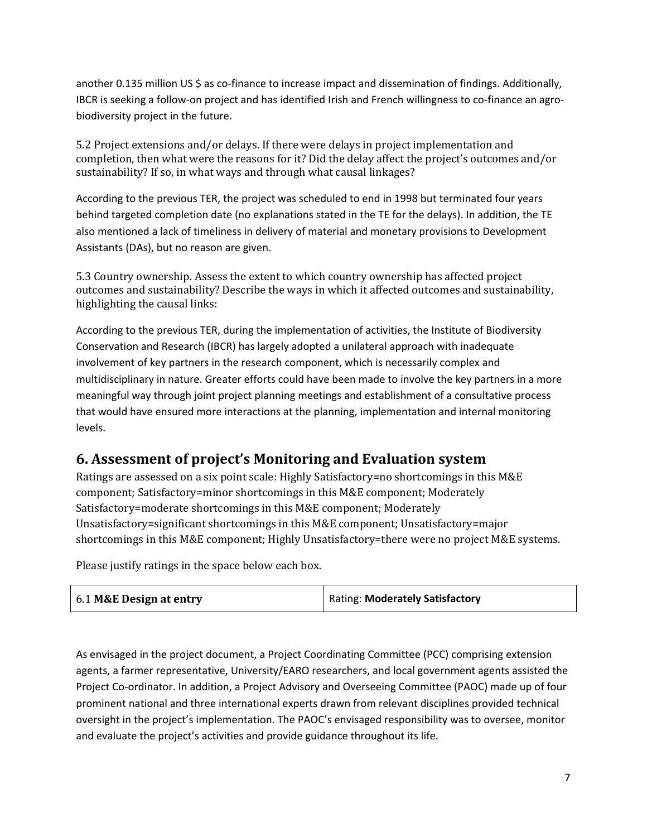another 0.135 million US \$ as co-finance to increase impact and dissemination of findings. Additionally, IBCR is seeking a follow-on project and has identified Irish and French willingness to co-finance an agrobiodiversity project in the future.

5.2 Project extensions and/or delays. If there were delays in project implementation and completion, then what were the reasons for it? Did the delay affect the project's outcomes and/or sustainability? If so, in what ways and through what causal linkages?

According to the previous TER, the project was scheduled to end in 1998 but terminated four years behind targeted completion date (no explanations stated in the TE for the delays). In addition, the TE also mentioned a lack of timeliness in delivery of material and monetary provisions to Development Assistants (DAs), but no reason are given.

5.3 Country ownership. Assess the extent to which country ownership has affected project outcomes and sustainability? Describe the ways in which it affected outcomes and sustainability, highlighting the causal links:

According to the previous TER, during the implementation of activities, the Institute of Biodiversity Conservation and Research (IBCR) has largely adopted a unilateral approach with inadequate involvement of key partners in the research component, which is necessarily complex and multidisciplinary in nature. Greater efforts could have been made to involve the key partners in a more meaningful way through joint project planning meetings and establishment of a consultative process that would have ensured more interactions at the planning, implementation and internal monitoring levels.

### **6. Assessment of project's Monitoring and Evaluation system**

Ratings are assessed on a six point scale: Highly Satisfactory=no shortcomings in this M&E component; Satisfactory=minor shortcomings in this M&E component; Moderately Satisfactory=moderate shortcomings in this M&E component; Moderately Unsatisfactory=significant shortcomings in this M&E component; Unsatisfactory=major shortcomings in this M&E component; Highly Unsatisfactory=there were no project M&E systems.

Please justify ratings in the space below each box.

| 6.1 M&E Design at entry | Rating: Moderately Satisfactory |
|-------------------------|---------------------------------|
|-------------------------|---------------------------------|

As envisaged in the project document, a Project Coordinating Committee (PCC) comprising extension agents, a farmer representative, University/EARO researchers, and local government agents assisted the Project Co-ordinator. In addition, a Project Advisory and Overseeing Committee (PAOC) made up of four prominent national and three international experts drawn from relevant disciplines provided technical oversight in the project's implementation. The PAOC's envisaged responsibility was to oversee, monitor and evaluate the project's activities and provide guidance throughout its life.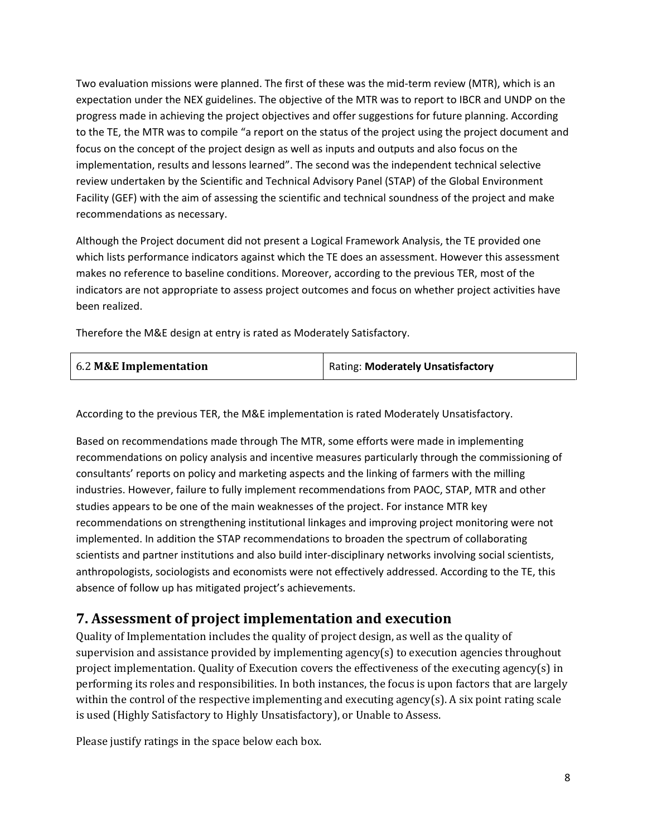Two evaluation missions were planned. The first of these was the mid-term review (MTR), which is an expectation under the NEX guidelines. The objective of the MTR was to report to IBCR and UNDP on the progress made in achieving the project objectives and offer suggestions for future planning. According to the TE, the MTR was to compile "a report on the status of the project using the project document and focus on the concept of the project design as well as inputs and outputs and also focus on the implementation, results and lessons learned". The second was the independent technical selective review undertaken by the Scientific and Technical Advisory Panel (STAP) of the Global Environment Facility (GEF) with the aim of assessing the scientific and technical soundness of the project and make recommendations as necessary.

Although the Project document did not present a Logical Framework Analysis, the TE provided one which lists performance indicators against which the TE does an assessment. However this assessment makes no reference to baseline conditions. Moreover, according to the previous TER, most of the indicators are not appropriate to assess project outcomes and focus on whether project activities have been realized.

Therefore the M&E design at entry is rated as Moderately Satisfactory.

| 6.2 M&E Implementation | Rating: Moderately Unsatisfactory |
|------------------------|-----------------------------------|
|------------------------|-----------------------------------|

According to the previous TER, the M&E implementation is rated Moderately Unsatisfactory.

Based on recommendations made through The MTR, some efforts were made in implementing recommendations on policy analysis and incentive measures particularly through the commissioning of consultants' reports on policy and marketing aspects and the linking of farmers with the milling industries. However, failure to fully implement recommendations from PAOC, STAP, MTR and other studies appears to be one of the main weaknesses of the project. For instance MTR key recommendations on strengthening institutional linkages and improving project monitoring were not implemented. In addition the STAP recommendations to broaden the spectrum of collaborating scientists and partner institutions and also build inter-disciplinary networks involving social scientists, anthropologists, sociologists and economists were not effectively addressed. According to the TE, this absence of follow up has mitigated project's achievements.

### **7. Assessment of project implementation and execution**

Quality of Implementation includes the quality of project design, as well as the quality of supervision and assistance provided by implementing agency(s) to execution agencies throughout project implementation. Quality of Execution covers the effectiveness of the executing agency(s) in performing its roles and responsibilities. In both instances, the focus is upon factors that are largely within the control of the respective implementing and executing agency(s). A six point rating scale is used (Highly Satisfactory to Highly Unsatisfactory), or Unable to Assess.

Please justify ratings in the space below each box.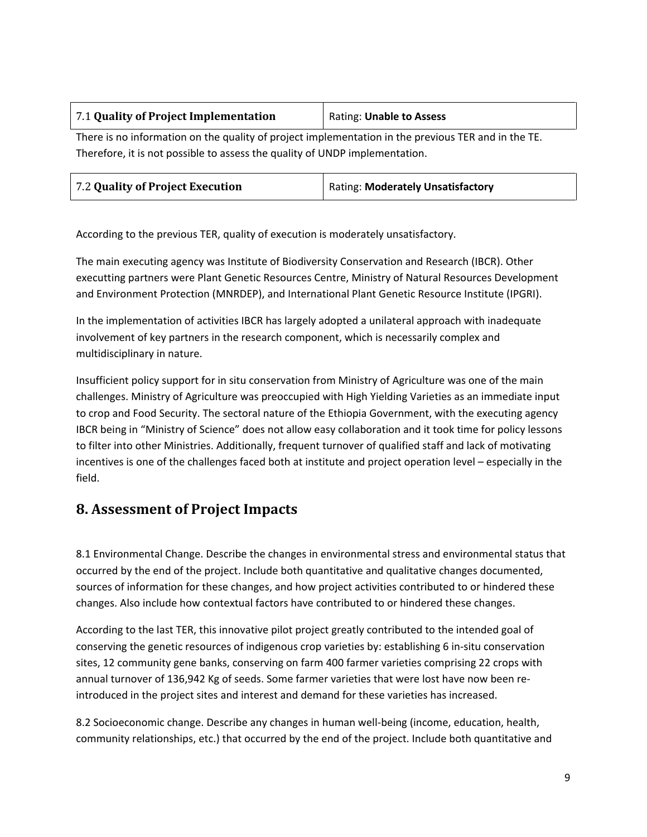| 7.1 Quality of Project Implementation | Rating: Unable to Assess |
|---------------------------------------|--------------------------|
|                                       |                          |

There is no information on the quality of project implementation in the previous TER and in the TE. Therefore, it is not possible to assess the quality of UNDP implementation.

| Rating: Moderately Unsatisfactory |
|-----------------------------------|
|                                   |

According to the previous TER, quality of execution is moderately unsatisfactory.

The main executing agency was Institute of Biodiversity Conservation and Research (IBCR). Other executting partners were Plant Genetic Resources Centre, Ministry of Natural Resources Development and Environment Protection (MNRDEP), and International Plant Genetic Resource Institute (IPGRI).

In the implementation of activities IBCR has largely adopted a unilateral approach with inadequate involvement of key partners in the research component, which is necessarily complex and multidisciplinary in nature.

Insufficient policy support for in situ conservation from Ministry of Agriculture was one of the main challenges. Ministry of Agriculture was preoccupied with High Yielding Varieties as an immediate input to crop and Food Security. The sectoral nature of the Ethiopia Government, with the executing agency IBCR being in "Ministry of Science" does not allow easy collaboration and it took time for policy lessons to filter into other Ministries. Additionally, frequent turnover of qualified staff and lack of motivating incentives is one of the challenges faced both at institute and project operation level – especially in the field.

#### **8. Assessment of Project Impacts**

8.1 Environmental Change. Describe the changes in environmental stress and environmental status that occurred by the end of the project. Include both quantitative and qualitative changes documented, sources of information for these changes, and how project activities contributed to or hindered these changes. Also include how contextual factors have contributed to or hindered these changes.

According to the last TER, this innovative pilot project greatly contributed to the intended goal of conserving the genetic resources of indigenous crop varieties by: establishing 6 in-situ conservation sites, 12 community gene banks, conserving on farm 400 farmer varieties comprising 22 crops with annual turnover of 136,942 Kg of seeds. Some farmer varieties that were lost have now been reintroduced in the project sites and interest and demand for these varieties has increased.

8.2 Socioeconomic change. Describe any changes in human well-being (income, education, health, community relationships, etc.) that occurred by the end of the project. Include both quantitative and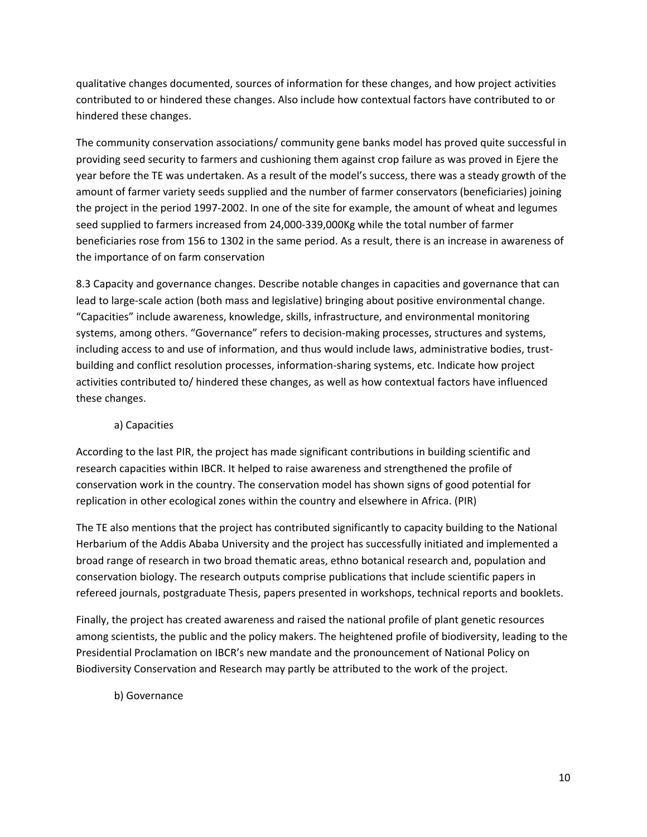qualitative changes documented, sources of information for these changes, and how project activities contributed to or hindered these changes. Also include how contextual factors have contributed to or hindered these changes.

The community conservation associations/ community gene banks model has proved quite successful in providing seed security to farmers and cushioning them against crop failure as was proved in Ejere the year before the TE was undertaken. As a result of the model's success, there was a steady growth of the amount of farmer variety seeds supplied and the number of farmer conservators (beneficiaries) joining the project in the period 1997-2002. In one of the site for example, the amount of wheat and legumes seed supplied to farmers increased from 24,000-339,000Kg while the total number of farmer beneficiaries rose from 156 to 1302 in the same period. As a result, there is an increase in awareness of the importance of on farm conservation

8.3 Capacity and governance changes. Describe notable changes in capacities and governance that can lead to large-scale action (both mass and legislative) bringing about positive environmental change. "Capacities" include awareness, knowledge, skills, infrastructure, and environmental monitoring systems, among others. "Governance" refers to decision-making processes, structures and systems, including access to and use of information, and thus would include laws, administrative bodies, trustbuilding and conflict resolution processes, information-sharing systems, etc. Indicate how project activities contributed to/ hindered these changes, as well as how contextual factors have influenced these changes.

#### a) Capacities

According to the last PIR, the project has made significant contributions in building scientific and research capacities within IBCR. It helped to raise awareness and strengthened the profile of conservation work in the country. The conservation model has shown signs of good potential for replication in other ecological zones within the country and elsewhere in Africa. (PIR)

The TE also mentions that the project has contributed significantly to capacity building to the National Herbarium of the Addis Ababa University and the project has successfully initiated and implemented a broad range of research in two broad thematic areas, ethno botanical research and, population and conservation biology. The research outputs comprise publications that include scientific papers in refereed journals, postgraduate Thesis, papers presented in workshops, technical reports and booklets.

Finally, the project has created awareness and raised the national profile of plant genetic resources among scientists, the public and the policy makers. The heightened profile of biodiversity, leading to the Presidential Proclamation on IBCR's new mandate and the pronouncement of National Policy on Biodiversity Conservation and Research may partly be attributed to the work of the project.

#### b) Governance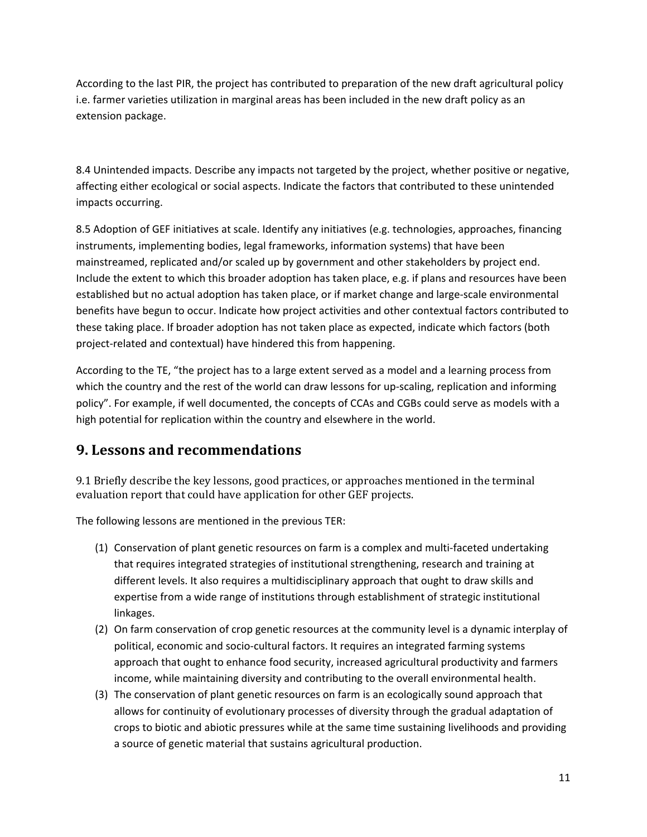According to the last PIR, the project has contributed to preparation of the new draft agricultural policy i.e. farmer varieties utilization in marginal areas has been included in the new draft policy as an extension package.

8.4 Unintended impacts. Describe any impacts not targeted by the project, whether positive or negative, affecting either ecological or social aspects. Indicate the factors that contributed to these unintended impacts occurring.

8.5 Adoption of GEF initiatives at scale. Identify any initiatives (e.g. technologies, approaches, financing instruments, implementing bodies, legal frameworks, information systems) that have been mainstreamed, replicated and/or scaled up by government and other stakeholders by project end. Include the extent to which this broader adoption has taken place, e.g. if plans and resources have been established but no actual adoption has taken place, or if market change and large-scale environmental benefits have begun to occur. Indicate how project activities and other contextual factors contributed to these taking place. If broader adoption has not taken place as expected, indicate which factors (both project-related and contextual) have hindered this from happening.

According to the TE, "the project has to a large extent served as a model and a learning process from which the country and the rest of the world can draw lessons for up-scaling, replication and informing policy". For example, if well documented, the concepts of CCAs and CGBs could serve as models with a high potential for replication within the country and elsewhere in the world.

### **9. Lessons and recommendations**

9.1 Briefly describe the key lessons, good practices, or approaches mentioned in the terminal evaluation report that could have application for other GEF projects.

The following lessons are mentioned in the previous TER:

- (1) Conservation of plant genetic resources on farm is a complex and multi-faceted undertaking that requires integrated strategies of institutional strengthening, research and training at different levels. It also requires a multidisciplinary approach that ought to draw skills and expertise from a wide range of institutions through establishment of strategic institutional linkages.
- (2) On farm conservation of crop genetic resources at the community level is a dynamic interplay of political, economic and socio-cultural factors. It requires an integrated farming systems approach that ought to enhance food security, increased agricultural productivity and farmers income, while maintaining diversity and contributing to the overall environmental health.
- (3) The conservation of plant genetic resources on farm is an ecologically sound approach that allows for continuity of evolutionary processes of diversity through the gradual adaptation of crops to biotic and abiotic pressures while at the same time sustaining livelihoods and providing a source of genetic material that sustains agricultural production.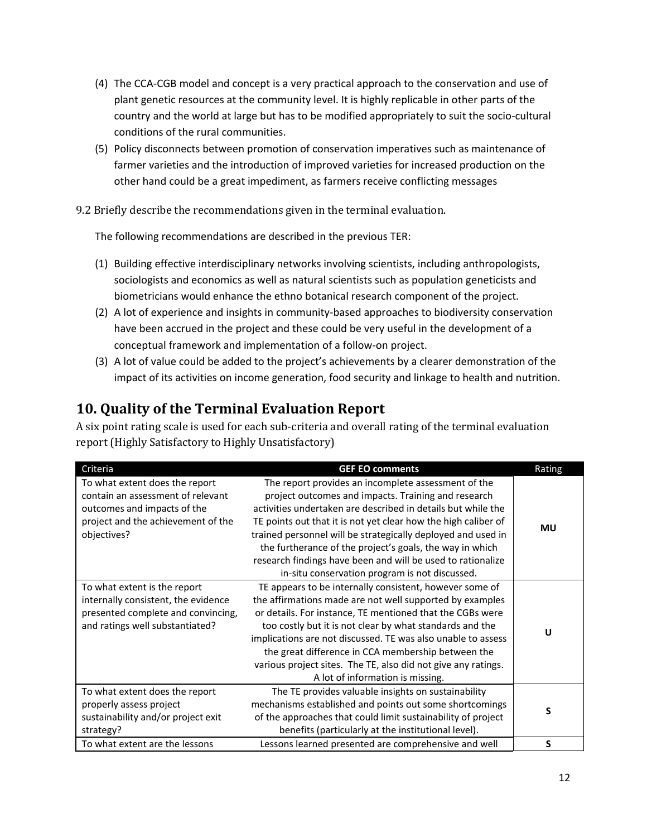- (4) The CCA-CGB model and concept is a very practical approach to the conservation and use of plant genetic resources at the community level. It is highly replicable in other parts of the country and the world at large but has to be modified appropriately to suit the socio-cultural conditions of the rural communities.
- (5) Policy disconnects between promotion of conservation imperatives such as maintenance of farmer varieties and the introduction of improved varieties for increased production on the other hand could be a great impediment, as farmers receive conflicting messages

9.2 Briefly describe the recommendations given in the terminal evaluation.

The following recommendations are described in the previous TER:

- (1) Building effective interdisciplinary networks involving scientists, including anthropologists, sociologists and economics as well as natural scientists such as population geneticists and biometricians would enhance the ethno botanical research component of the project.
- (2) A lot of experience and insights in community-based approaches to biodiversity conservation have been accrued in the project and these could be very useful in the development of a conceptual framework and implementation of a follow-on project.
- (3) A lot of value could be added to the project's achievements by a clearer demonstration of the impact of its activities on income generation, food security and linkage to health and nutrition.

### **10. Quality of the Terminal Evaluation Report**

A six point rating scale is used for each sub-criteria and overall rating of the terminal evaluation report (Highly Satisfactory to Highly Unsatisfactory)

| Criteria                                                                                                                                                | <b>GEF EO comments</b>                                                                                                                                                                                                                                                                                                                                                                                                                                                                    | Rating    |
|---------------------------------------------------------------------------------------------------------------------------------------------------------|-------------------------------------------------------------------------------------------------------------------------------------------------------------------------------------------------------------------------------------------------------------------------------------------------------------------------------------------------------------------------------------------------------------------------------------------------------------------------------------------|-----------|
| To what extent does the report<br>contain an assessment of relevant<br>outcomes and impacts of the<br>project and the achievement of the<br>objectives? | The report provides an incomplete assessment of the<br>project outcomes and impacts. Training and research<br>activities undertaken are described in details but while the<br>TE points out that it is not yet clear how the high caliber of<br>trained personnel will be strategically deployed and used in<br>the furtherance of the project's goals, the way in which<br>research findings have been and will be used to rationalize<br>in-situ conservation program is not discussed. | <b>MU</b> |
| To what extent is the report<br>internally consistent, the evidence<br>presented complete and convincing,<br>and ratings well substantiated?            | TE appears to be internally consistent, however some of<br>the affirmations made are not well supported by examples<br>or details. For instance, TE mentioned that the CGBs were<br>too costly but it is not clear by what standards and the<br>implications are not discussed. TE was also unable to assess<br>the great difference in CCA membership between the<br>various project sites. The TE, also did not give any ratings.<br>A lot of information is missing.                   | U         |
| To what extent does the report<br>properly assess project<br>sustainability and/or project exit<br>strategy?                                            | The TE provides valuable insights on sustainability<br>mechanisms established and points out some shortcomings<br>of the approaches that could limit sustainability of project<br>benefits (particularly at the institutional level).                                                                                                                                                                                                                                                     | S         |
| To what extent are the lessons                                                                                                                          | Lessons learned presented are comprehensive and well                                                                                                                                                                                                                                                                                                                                                                                                                                      | S         |